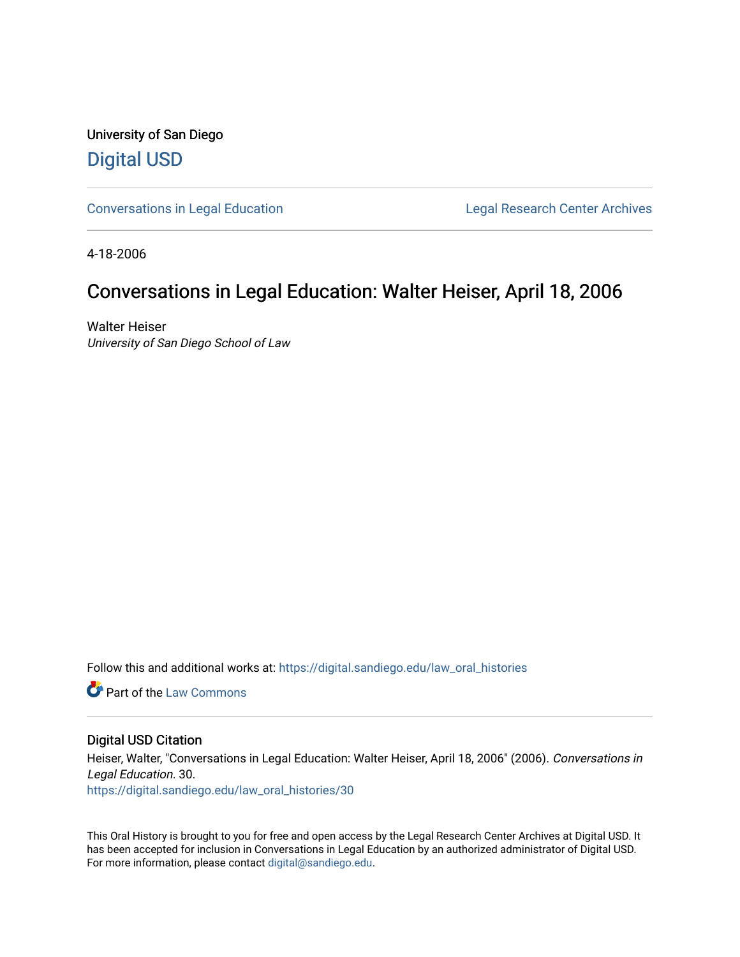University of San Diego [Digital USD](https://digital.sandiego.edu/)

[Conversations in Legal Education](https://digital.sandiego.edu/law_oral_histories) **Legal Research Center Archives** 

4-18-2006

## Conversations in Legal Education: Walter Heiser, April 18, 2006

Walter Heiser University of San Diego School of Law

Follow this and additional works at: [https://digital.sandiego.edu/law\\_oral\\_histories](https://digital.sandiego.edu/law_oral_histories?utm_source=digital.sandiego.edu%2Flaw_oral_histories%2F30&utm_medium=PDF&utm_campaign=PDFCoverPages) 

**C** Part of the [Law Commons](http://network.bepress.com/hgg/discipline/578?utm_source=digital.sandiego.edu%2Flaw_oral_histories%2F30&utm_medium=PDF&utm_campaign=PDFCoverPages)

#### Digital USD Citation

Heiser, Walter, "Conversations in Legal Education: Walter Heiser, April 18, 2006" (2006). Conversations in Legal Education. 30. [https://digital.sandiego.edu/law\\_oral\\_histories/30](https://digital.sandiego.edu/law_oral_histories/30?utm_source=digital.sandiego.edu%2Flaw_oral_histories%2F30&utm_medium=PDF&utm_campaign=PDFCoverPages) 

This Oral History is brought to you for free and open access by the Legal Research Center Archives at Digital USD. It has been accepted for inclusion in Conversations in Legal Education by an authorized administrator of Digital USD. For more information, please contact [digital@sandiego.edu](mailto:digital@sandiego.edu).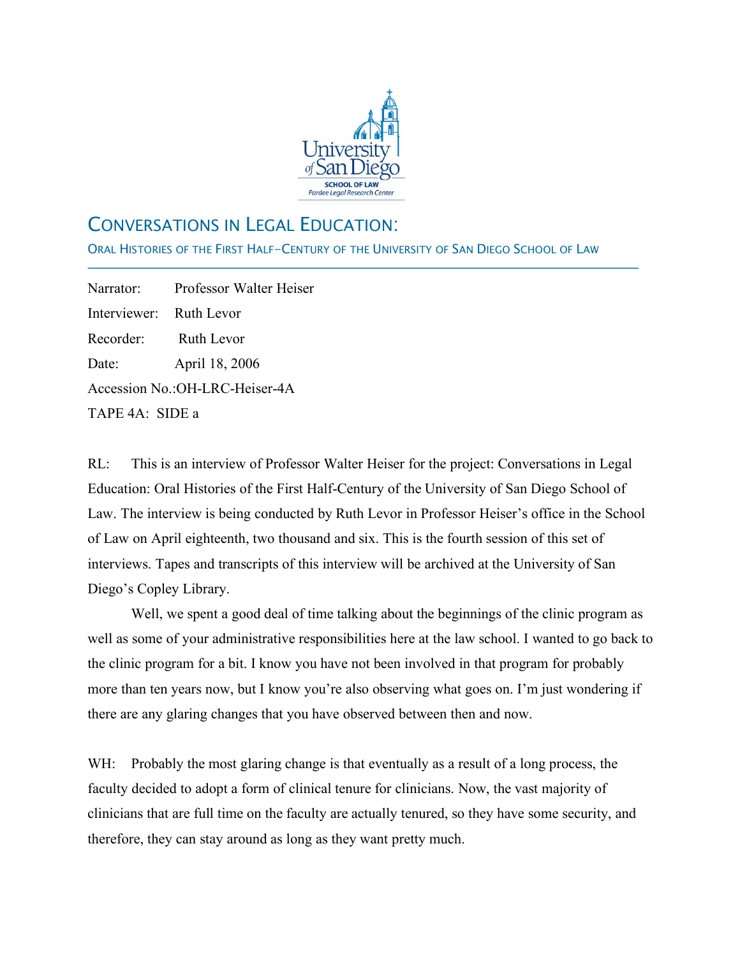

# CONVERSATIONS IN LEGAL EDUCATION:

ORAL HISTORIES OF THE FIRST HALF-CENTURY OF THE UNIVERSITY OF SAN DIEGO SCHOOL OF LAW

Narrator: Professor Walter Heiser Interviewer: Ruth Levor Recorder: Ruth Levor Date: April 18, 2006 Accession No.:OH-LRC-Heiser-4A TAPE 4A: SIDE a

j

RL: This is an interview of Professor Walter Heiser for the project: Conversations in Legal Education: Oral Histories of the First Half-Century of the University of San Diego School of Law. The interview is being conducted by Ruth Levor in Professor Heiser's office in the School of Law on April eighteenth, two thousand and six. This is the fourth session of this set of interviews. Tapes and transcripts of this interview will be archived at the University of San Diego's Copley Library.

Well, we spent a good deal of time talking about the beginnings of the clinic program as well as some of your administrative responsibilities here at the law school. I wanted to go back to the clinic program for a bit. I know you have not been involved in that program for probably more than ten years now, but I know you're also observing what goes on. I'm just wondering if there are any glaring changes that you have observed between then and now.

WH: Probably the most glaring change is that eventually as a result of a long process, the faculty decided to adopt a form of clinical tenure for clinicians. Now, the vast majority of clinicians that are full time on the faculty are actually tenured, so they have some security, and therefore, they can stay around as long as they want pretty much.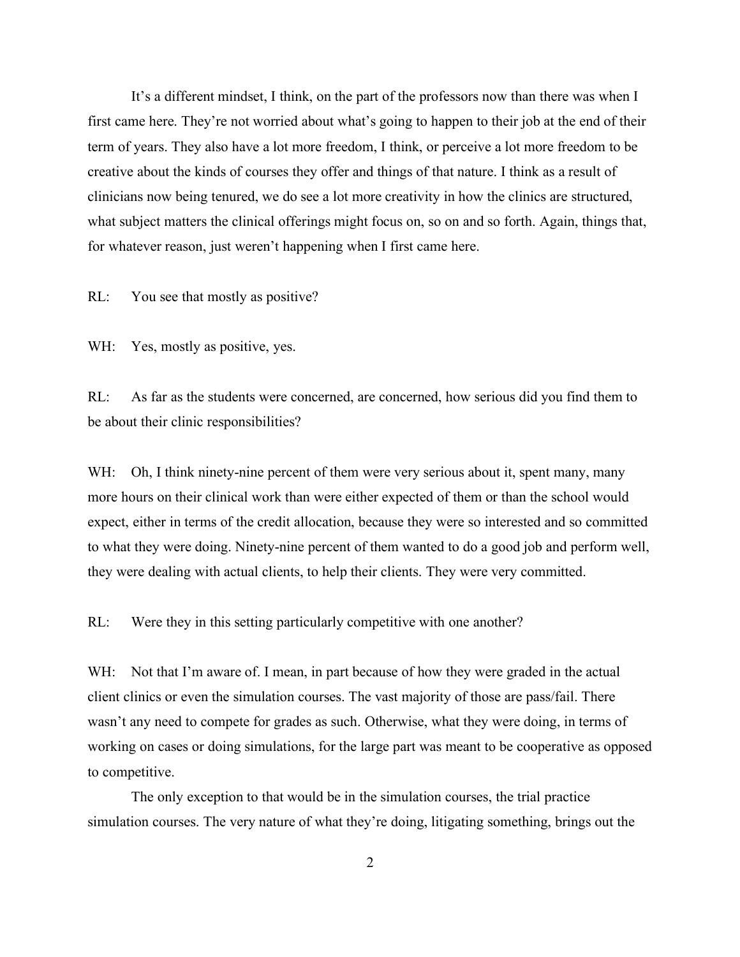It's a different mindset, I think, on the part of the professors now than there was when I first came here. They're not worried about what's going to happen to their job at the end of their term of years. They also have a lot more freedom, I think, or perceive a lot more freedom to be creative about the kinds of courses they offer and things of that nature. I think as a result of clinicians now being tenured, we do see a lot more creativity in how the clinics are structured, what subject matters the clinical offerings might focus on, so on and so forth. Again, things that, for whatever reason, just weren't happening when I first came here.

RL: You see that mostly as positive?

WH: Yes, mostly as positive, yes.

RL: As far as the students were concerned, are concerned, how serious did you find them to be about their clinic responsibilities?

WH: Oh, I think ninety-nine percent of them were very serious about it, spent many, many more hours on their clinical work than were either expected of them or than the school would expect, either in terms of the credit allocation, because they were so interested and so committed to what they were doing. Ninety-nine percent of them wanted to do a good job and perform well, they were dealing with actual clients, to help their clients. They were very committed.

RL: Were they in this setting particularly competitive with one another?

WH: Not that I'm aware of. I mean, in part because of how they were graded in the actual client clinics or even the simulation courses. The vast majority of those are pass/fail. There wasn't any need to compete for grades as such. Otherwise, what they were doing, in terms of working on cases or doing simulations, for the large part was meant to be cooperative as opposed to competitive.

The only exception to that would be in the simulation courses, the trial practice simulation courses. The very nature of what they're doing, litigating something, brings out the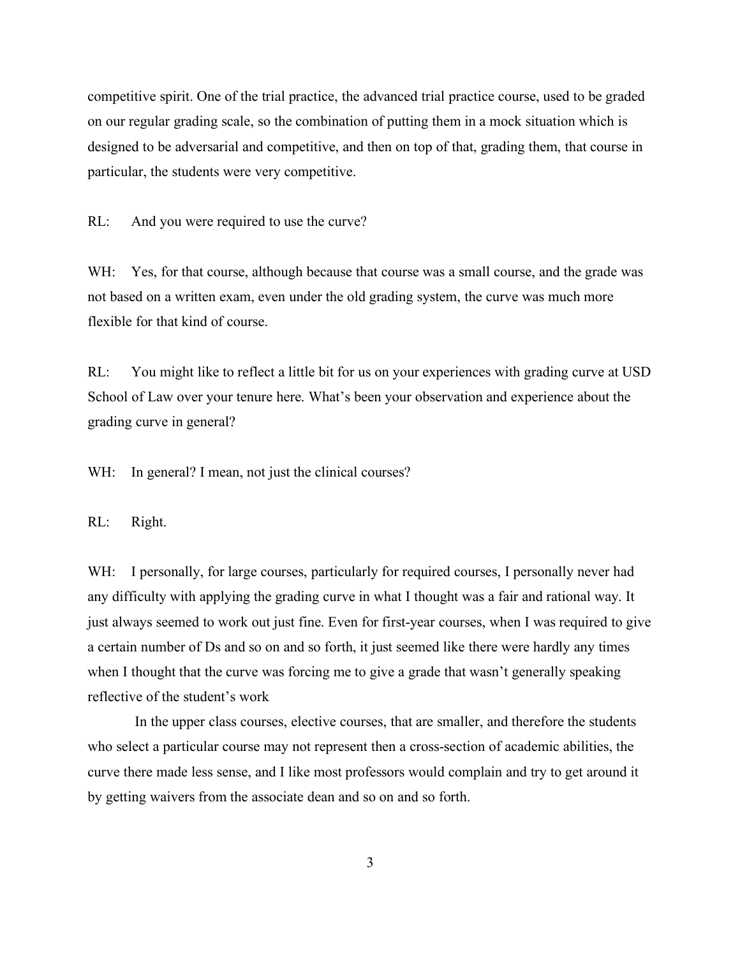competitive spirit. One of the trial practice, the advanced trial practice course, used to be graded on our regular grading scale, so the combination of putting them in a mock situation which is designed to be adversarial and competitive, and then on top of that, grading them, that course in particular, the students were very competitive.

RL: And you were required to use the curve?

WH: Yes, for that course, although because that course was a small course, and the grade was not based on a written exam, even under the old grading system, the curve was much more flexible for that kind of course.

RL: You might like to reflect a little bit for us on your experiences with grading curve at USD School of Law over your tenure here. What's been your observation and experience about the grading curve in general?

WH: In general? I mean, not just the clinical courses?

RL: Right.

WH: I personally, for large courses, particularly for required courses, I personally never had any difficulty with applying the grading curve in what I thought was a fair and rational way. It just always seemed to work out just fine. Even for first-year courses, when I was required to give a certain number of Ds and so on and so forth, it just seemed like there were hardly any times when I thought that the curve was forcing me to give a grade that wasn't generally speaking reflective of the student's work

In the upper class courses, elective courses, that are smaller, and therefore the students who select a particular course may not represent then a cross-section of academic abilities, the curve there made less sense, and I like most professors would complain and try to get around it by getting waivers from the associate dean and so on and so forth.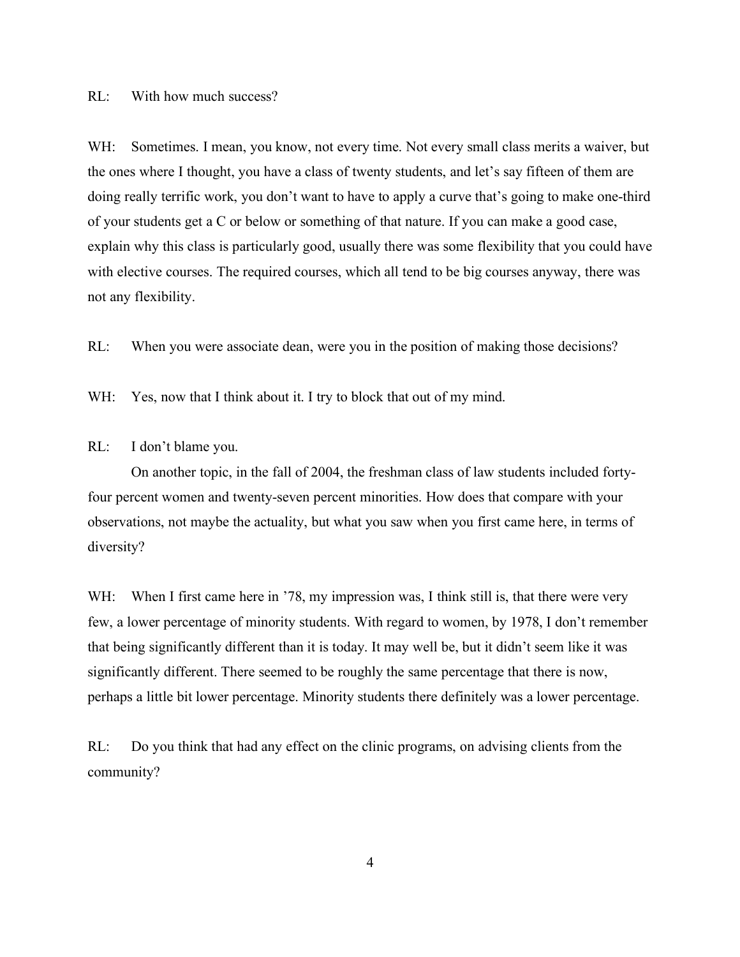RL: With how much success?

WH: Sometimes. I mean, you know, not every time. Not every small class merits a waiver, but the ones where I thought, you have a class of twenty students, and let's say fifteen of them are doing really terrific work, you don't want to have to apply a curve that's going to make one-third of your students get a C or below or something of that nature. If you can make a good case, explain why this class is particularly good, usually there was some flexibility that you could have with elective courses. The required courses, which all tend to be big courses anyway, there was not any flexibility.

RL: When you were associate dean, were you in the position of making those decisions?

WH: Yes, now that I think about it. I try to block that out of my mind.

### RL: I don't blame you.

On another topic, in the fall of 2004, the freshman class of law students included fortyfour percent women and twenty-seven percent minorities. How does that compare with your observations, not maybe the actuality, but what you saw when you first came here, in terms of diversity?

WH: When I first came here in '78, my impression was, I think still is, that there were very few, a lower percentage of minority students. With regard to women, by 1978, I don't remember that being significantly different than it is today. It may well be, but it didn't seem like it was significantly different. There seemed to be roughly the same percentage that there is now, perhaps a little bit lower percentage. Minority students there definitely was a lower percentage.

RL: Do you think that had any effect on the clinic programs, on advising clients from the community?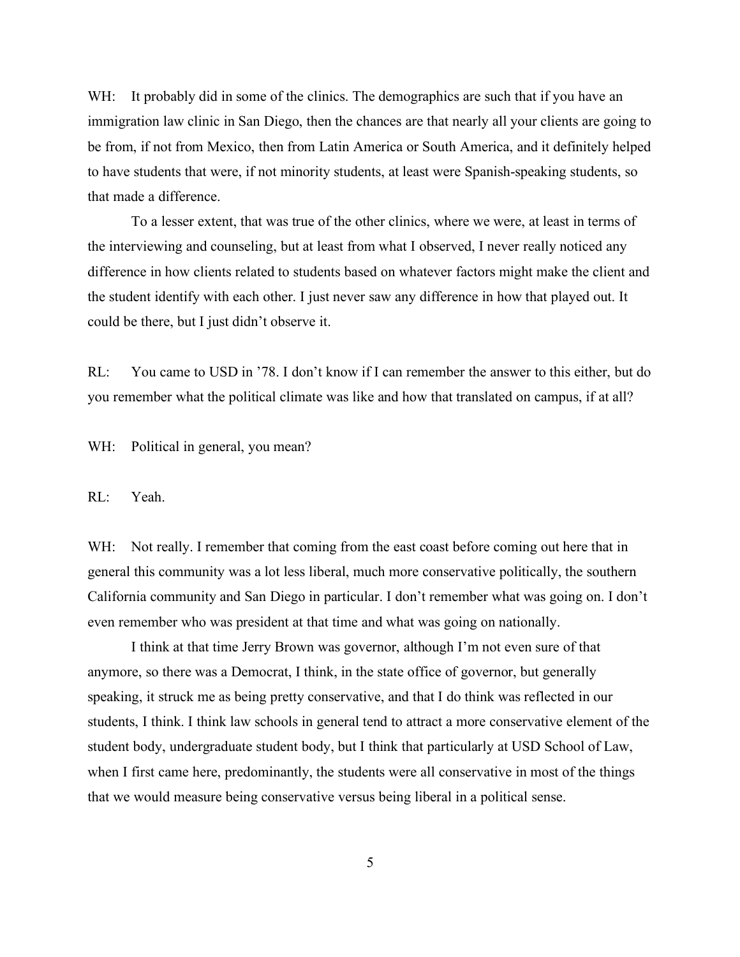WH: It probably did in some of the clinics. The demographics are such that if you have an immigration law clinic in San Diego, then the chances are that nearly all your clients are going to be from, if not from Mexico, then from Latin America or South America, and it definitely helped to have students that were, if not minority students, at least were Spanish-speaking students, so that made a difference.

To a lesser extent, that was true of the other clinics, where we were, at least in terms of the interviewing and counseling, but at least from what I observed, I never really noticed any difference in how clients related to students based on whatever factors might make the client and the student identify with each other. I just never saw any difference in how that played out. It could be there, but I just didn't observe it.

RL: You came to USD in '78. I don't know if I can remember the answer to this either, but do you remember what the political climate was like and how that translated on campus, if at all?

WH: Political in general, you mean?

RL: Yeah.

WH: Not really. I remember that coming from the east coast before coming out here that in general this community was a lot less liberal, much more conservative politically, the southern California community and San Diego in particular. I don't remember what was going on. I don't even remember who was president at that time and what was going on nationally.

I think at that time Jerry Brown was governor, although I'm not even sure of that anymore, so there was a Democrat, I think, in the state office of governor, but generally speaking, it struck me as being pretty conservative, and that I do think was reflected in our students, I think. I think law schools in general tend to attract a more conservative element of the student body, undergraduate student body, but I think that particularly at USD School of Law, when I first came here, predominantly, the students were all conservative in most of the things that we would measure being conservative versus being liberal in a political sense.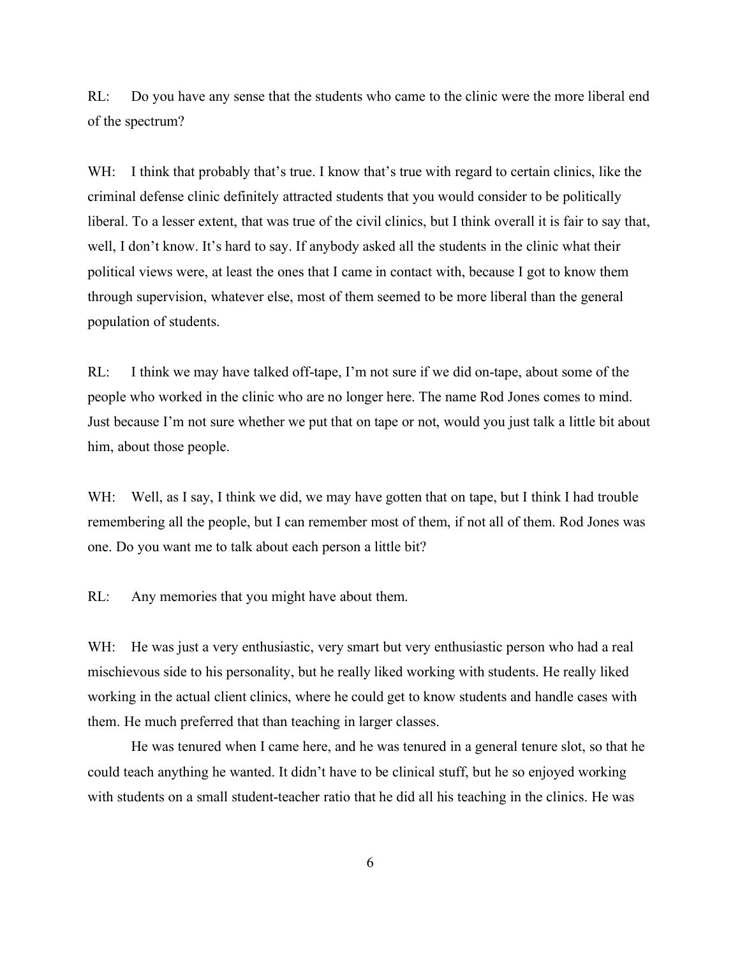RL: Do you have any sense that the students who came to the clinic were the more liberal end of the spectrum?

WH: I think that probably that's true. I know that's true with regard to certain clinics, like the criminal defense clinic definitely attracted students that you would consider to be politically liberal. To a lesser extent, that was true of the civil clinics, but I think overall it is fair to say that, well, I don't know. It's hard to say. If anybody asked all the students in the clinic what their political views were, at least the ones that I came in contact with, because I got to know them through supervision, whatever else, most of them seemed to be more liberal than the general population of students.

RL: I think we may have talked off-tape, I'm not sure if we did on-tape, about some of the people who worked in the clinic who are no longer here. The name Rod Jones comes to mind. Just because I'm not sure whether we put that on tape or not, would you just talk a little bit about him, about those people.

WH: Well, as I say, I think we did, we may have gotten that on tape, but I think I had trouble remembering all the people, but I can remember most of them, if not all of them. Rod Jones was one. Do you want me to talk about each person a little bit?

RL: Any memories that you might have about them.

WH: He was just a very enthusiastic, very smart but very enthusiastic person who had a real mischievous side to his personality, but he really liked working with students. He really liked working in the actual client clinics, where he could get to know students and handle cases with them. He much preferred that than teaching in larger classes.

He was tenured when I came here, and he was tenured in a general tenure slot, so that he could teach anything he wanted. It didn't have to be clinical stuff, but he so enjoyed working with students on a small student-teacher ratio that he did all his teaching in the clinics. He was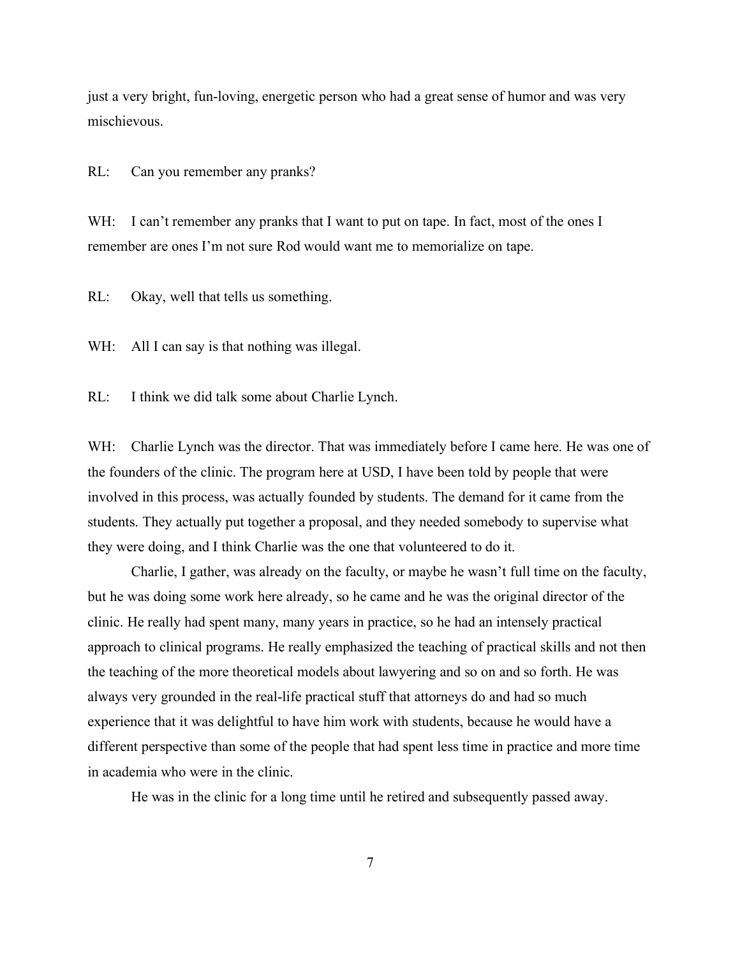just a very bright, fun-loving, energetic person who had a great sense of humor and was very mischievous.

RL: Can you remember any pranks?

WH: I can't remember any pranks that I want to put on tape. In fact, most of the ones I remember are ones I'm not sure Rod would want me to memorialize on tape.

RL: Okay, well that tells us something.

WH: All I can say is that nothing was illegal.

RL: I think we did talk some about Charlie Lynch.

WH: Charlie Lynch was the director. That was immediately before I came here. He was one of the founders of the clinic. The program here at USD, I have been told by people that were involved in this process, was actually founded by students. The demand for it came from the students. They actually put together a proposal, and they needed somebody to supervise what they were doing, and I think Charlie was the one that volunteered to do it.

Charlie, I gather, was already on the faculty, or maybe he wasn't full time on the faculty, but he was doing some work here already, so he came and he was the original director of the clinic. He really had spent many, many years in practice, so he had an intensely practical approach to clinical programs. He really emphasized the teaching of practical skills and not then the teaching of the more theoretical models about lawyering and so on and so forth. He was always very grounded in the real-life practical stuff that attorneys do and had so much experience that it was delightful to have him work with students, because he would have a different perspective than some of the people that had spent less time in practice and more time in academia who were in the clinic.

He was in the clinic for a long time until he retired and subsequently passed away.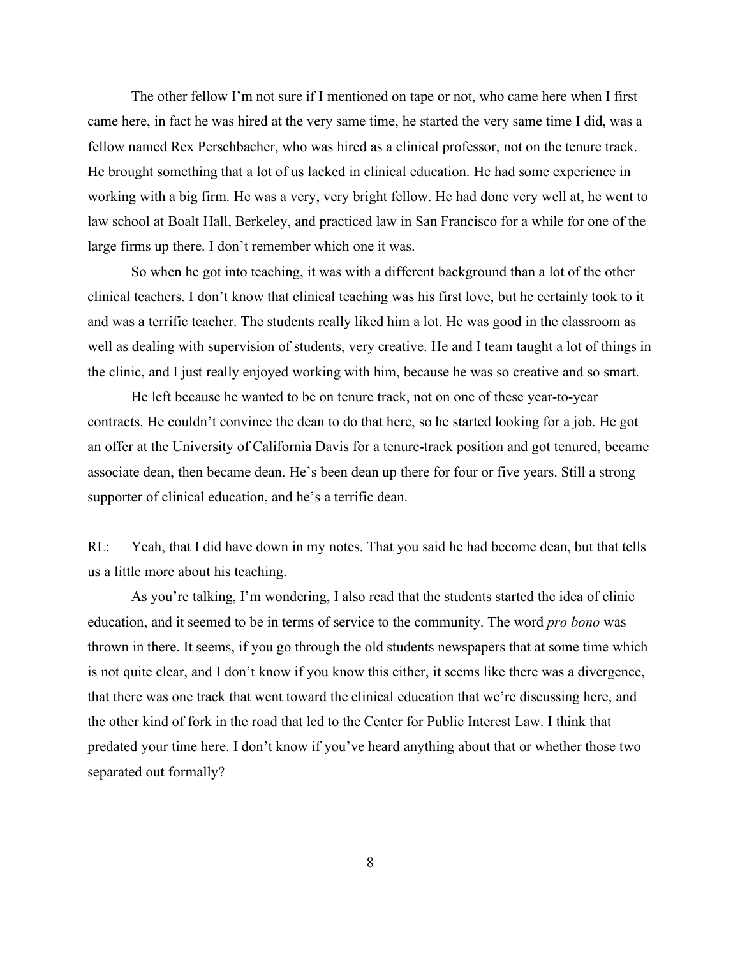The other fellow I'm not sure if I mentioned on tape or not, who came here when I first came here, in fact he was hired at the very same time, he started the very same time I did, was a fellow named Rex Perschbacher, who was hired as a clinical professor, not on the tenure track. He brought something that a lot of us lacked in clinical education. He had some experience in working with a big firm. He was a very, very bright fellow. He had done very well at, he went to law school at Boalt Hall, Berkeley, and practiced law in San Francisco for a while for one of the large firms up there. I don't remember which one it was.

So when he got into teaching, it was with a different background than a lot of the other clinical teachers. I don't know that clinical teaching was his first love, but he certainly took to it and was a terrific teacher. The students really liked him a lot. He was good in the classroom as well as dealing with supervision of students, very creative. He and I team taught a lot of things in the clinic, and I just really enjoyed working with him, because he was so creative and so smart.

He left because he wanted to be on tenure track, not on one of these year-to-year contracts. He couldn't convince the dean to do that here, so he started looking for a job. He got an offer at the University of California Davis for a tenure-track position and got tenured, became associate dean, then became dean. He's been dean up there for four or five years. Still a strong supporter of clinical education, and he's a terrific dean.

RL: Yeah, that I did have down in my notes. That you said he had become dean, but that tells us a little more about his teaching.

As you're talking, I'm wondering, I also read that the students started the idea of clinic education, and it seemed to be in terms of service to the community. The word *pro bono* was thrown in there. It seems, if you go through the old students newspapers that at some time which is not quite clear, and I don't know if you know this either, it seems like there was a divergence, that there was one track that went toward the clinical education that we're discussing here, and the other kind of fork in the road that led to the Center for Public Interest Law. I think that predated your time here. I don't know if you've heard anything about that or whether those two separated out formally?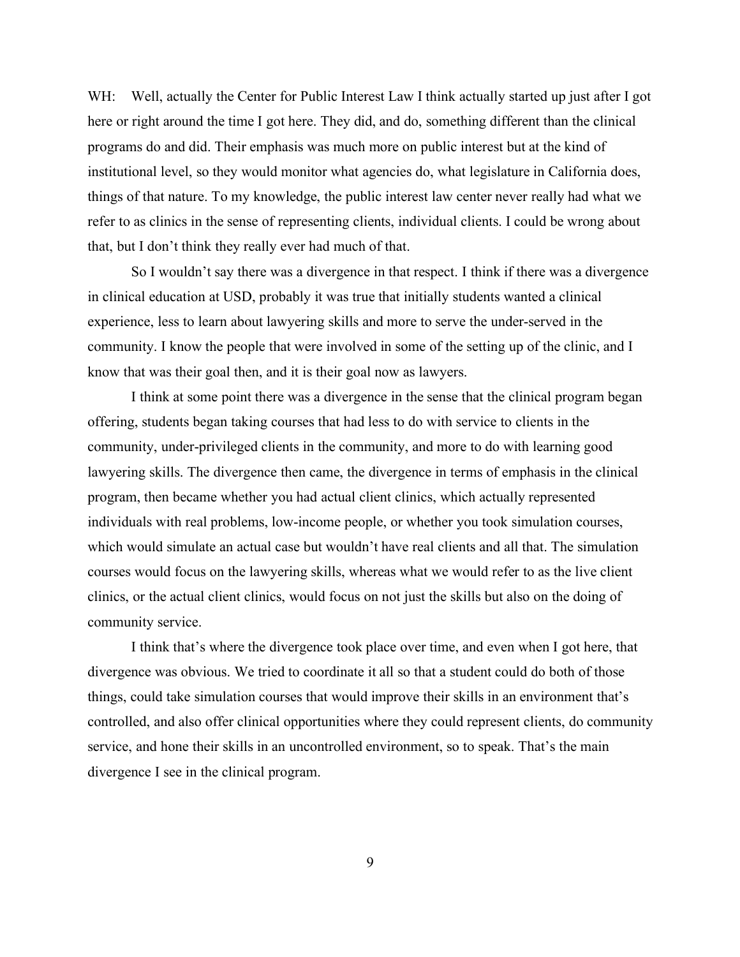WH: Well, actually the Center for Public Interest Law I think actually started up just after I got here or right around the time I got here. They did, and do, something different than the clinical programs do and did. Their emphasis was much more on public interest but at the kind of institutional level, so they would monitor what agencies do, what legislature in California does, things of that nature. To my knowledge, the public interest law center never really had what we refer to as clinics in the sense of representing clients, individual clients. I could be wrong about that, but I don't think they really ever had much of that.

So I wouldn't say there was a divergence in that respect. I think if there was a divergence in clinical education at USD, probably it was true that initially students wanted a clinical experience, less to learn about lawyering skills and more to serve the under-served in the community. I know the people that were involved in some of the setting up of the clinic, and I know that was their goal then, and it is their goal now as lawyers.

I think at some point there was a divergence in the sense that the clinical program began offering, students began taking courses that had less to do with service to clients in the community, under-privileged clients in the community, and more to do with learning good lawyering skills. The divergence then came, the divergence in terms of emphasis in the clinical program, then became whether you had actual client clinics, which actually represented individuals with real problems, low-income people, or whether you took simulation courses, which would simulate an actual case but wouldn't have real clients and all that. The simulation courses would focus on the lawyering skills, whereas what we would refer to as the live client clinics, or the actual client clinics, would focus on not just the skills but also on the doing of community service.

I think that's where the divergence took place over time, and even when I got here, that divergence was obvious. We tried to coordinate it all so that a student could do both of those things, could take simulation courses that would improve their skills in an environment that's controlled, and also offer clinical opportunities where they could represent clients, do community service, and hone their skills in an uncontrolled environment, so to speak. That's the main divergence I see in the clinical program.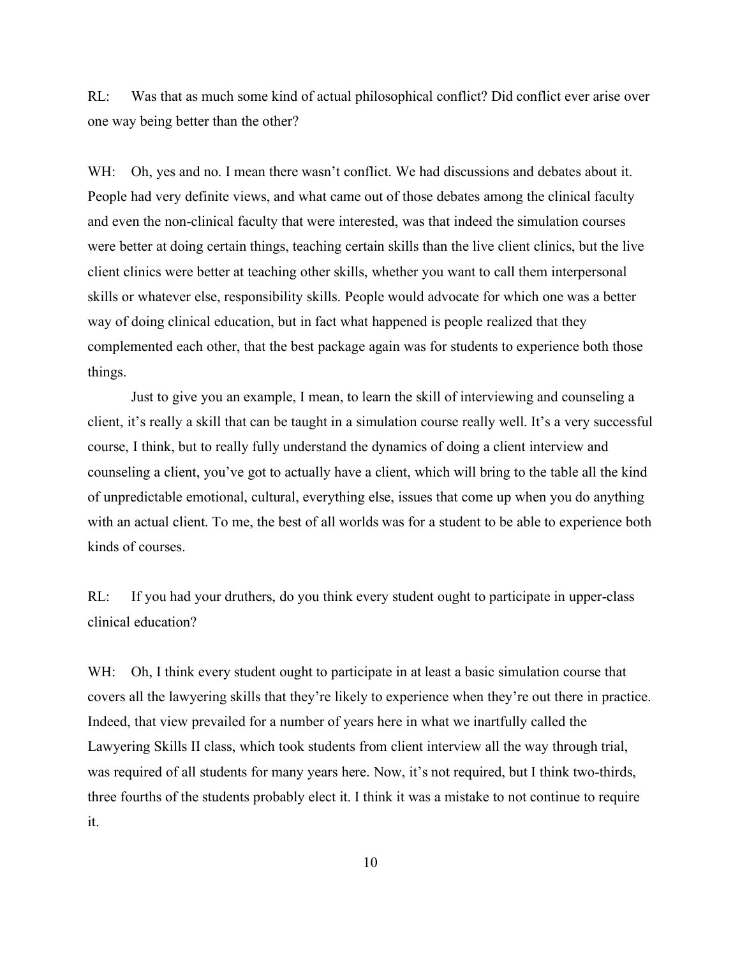RL: Was that as much some kind of actual philosophical conflict? Did conflict ever arise over one way being better than the other?

WH: Oh, yes and no. I mean there wasn't conflict. We had discussions and debates about it. People had very definite views, and what came out of those debates among the clinical faculty and even the non-clinical faculty that were interested, was that indeed the simulation courses were better at doing certain things, teaching certain skills than the live client clinics, but the live client clinics were better at teaching other skills, whether you want to call them interpersonal skills or whatever else, responsibility skills. People would advocate for which one was a better way of doing clinical education, but in fact what happened is people realized that they complemented each other, that the best package again was for students to experience both those things.

Just to give you an example, I mean, to learn the skill of interviewing and counseling a client, it's really a skill that can be taught in a simulation course really well. It's a very successful course, I think, but to really fully understand the dynamics of doing a client interview and counseling a client, you've got to actually have a client, which will bring to the table all the kind of unpredictable emotional, cultural, everything else, issues that come up when you do anything with an actual client. To me, the best of all worlds was for a student to be able to experience both kinds of courses.

RL: If you had your druthers, do you think every student ought to participate in upper-class clinical education?

WH: Oh, I think every student ought to participate in at least a basic simulation course that covers all the lawyering skills that they're likely to experience when they're out there in practice. Indeed, that view prevailed for a number of years here in what we inartfully called the Lawyering Skills II class, which took students from client interview all the way through trial, was required of all students for many years here. Now, it's not required, but I think two-thirds, three fourths of the students probably elect it. I think it was a mistake to not continue to require it.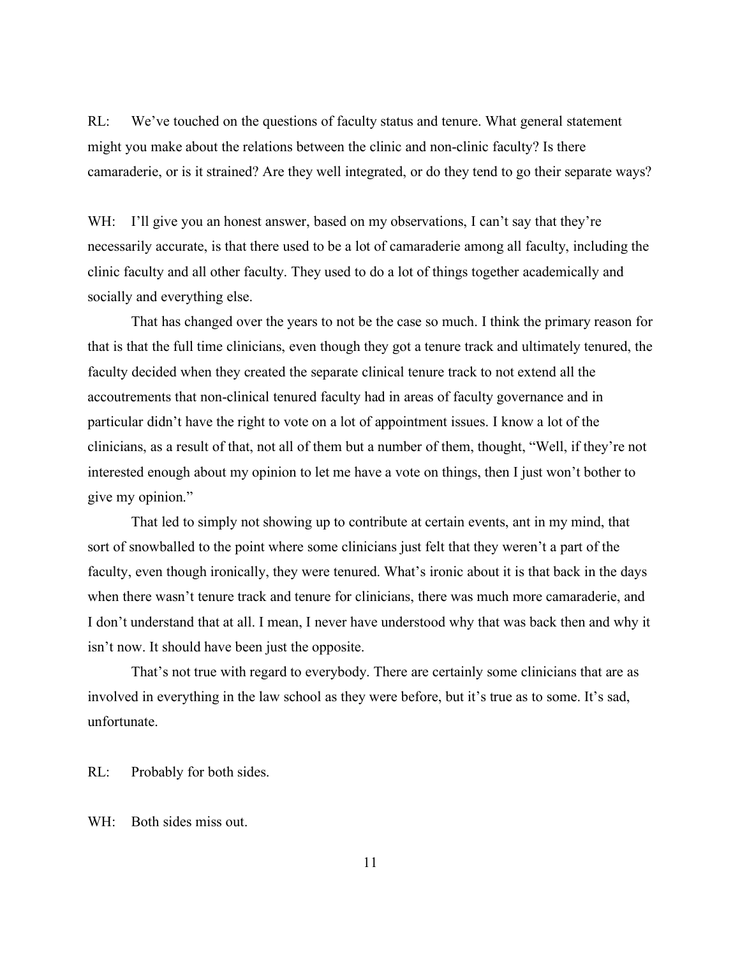RL: We've touched on the questions of faculty status and tenure. What general statement might you make about the relations between the clinic and non-clinic faculty? Is there camaraderie, or is it strained? Are they well integrated, or do they tend to go their separate ways?

WH: I'll give you an honest answer, based on my observations, I can't say that they're necessarily accurate, is that there used to be a lot of camaraderie among all faculty, including the clinic faculty and all other faculty. They used to do a lot of things together academically and socially and everything else.

That has changed over the years to not be the case so much. I think the primary reason for that is that the full time clinicians, even though they got a tenure track and ultimately tenured, the faculty decided when they created the separate clinical tenure track to not extend all the accoutrements that non-clinical tenured faculty had in areas of faculty governance and in particular didn't have the right to vote on a lot of appointment issues. I know a lot of the clinicians, as a result of that, not all of them but a number of them, thought, "Well, if they're not interested enough about my opinion to let me have a vote on things, then I just won't bother to give my opinion."

That led to simply not showing up to contribute at certain events, ant in my mind, that sort of snowballed to the point where some clinicians just felt that they weren't a part of the faculty, even though ironically, they were tenured. What's ironic about it is that back in the days when there wasn't tenure track and tenure for clinicians, there was much more camaraderie, and I don't understand that at all. I mean, I never have understood why that was back then and why it isn't now. It should have been just the opposite.

That's not true with regard to everybody. There are certainly some clinicians that are as involved in everything in the law school as they were before, but it's true as to some. It's sad, unfortunate.

RL: Probably for both sides.

WH: Both sides miss out.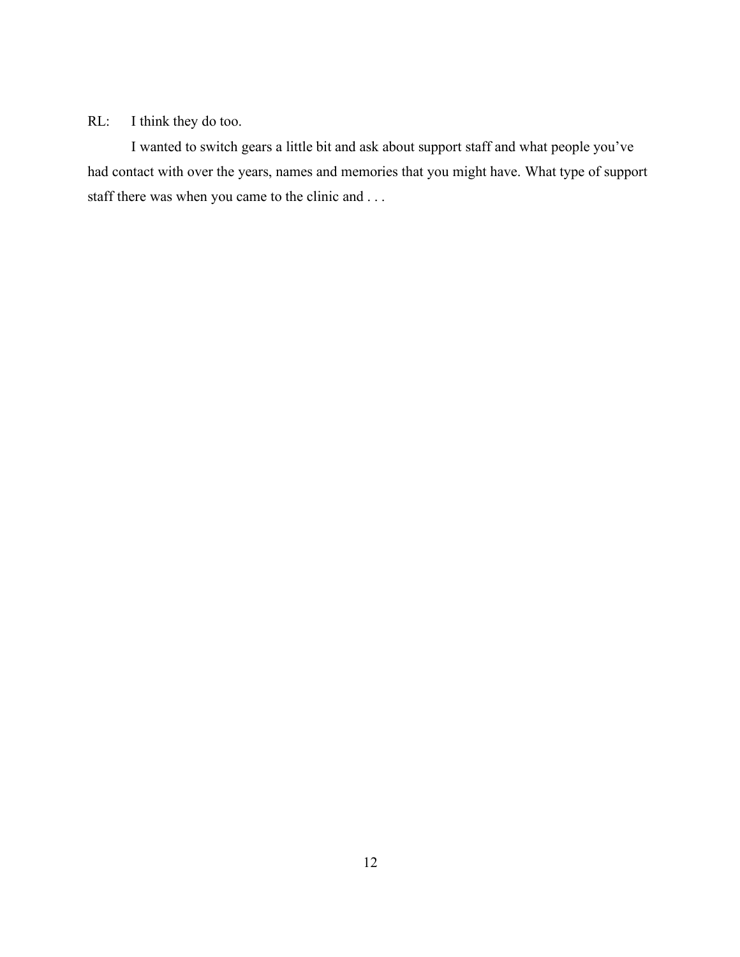### RL: I think they do too.

I wanted to switch gears a little bit and ask about support staff and what people you've had contact with over the years, names and memories that you might have. What type of support staff there was when you came to the clinic and . . .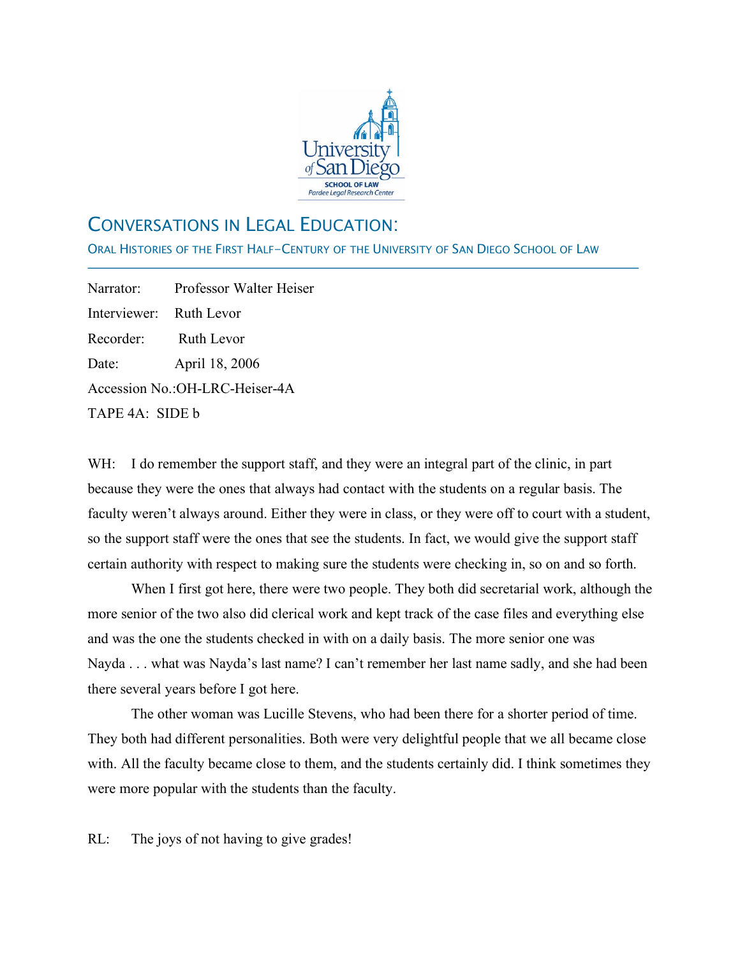

## CONVERSATIONS IN LEGAL EDUCATION:

ORAL HISTORIES OF THE FIRST HALF-CENTURY OF THE UNIVERSITY OF SAN DIEGO SCHOOL OF LAW

Narrator: Professor Walter Heiser Interviewer: Ruth Levor Recorder: Ruth Levor Date: April 18, 2006 Accession No.:OH-LRC-Heiser-4A TAPE 4A: SIDE b

j

WH: I do remember the support staff, and they were an integral part of the clinic, in part because they were the ones that always had contact with the students on a regular basis. The faculty weren't always around. Either they were in class, or they were off to court with a student, so the support staff were the ones that see the students. In fact, we would give the support staff certain authority with respect to making sure the students were checking in, so on and so forth.

When I first got here, there were two people. They both did secretarial work, although the more senior of the two also did clerical work and kept track of the case files and everything else and was the one the students checked in with on a daily basis. The more senior one was Nayda . . . what was Nayda's last name? I can't remember her last name sadly, and she had been there several years before I got here.

The other woman was Lucille Stevens, who had been there for a shorter period of time. They both had different personalities. Both were very delightful people that we all became close with. All the faculty became close to them, and the students certainly did. I think sometimes they were more popular with the students than the faculty.

RL: The joys of not having to give grades!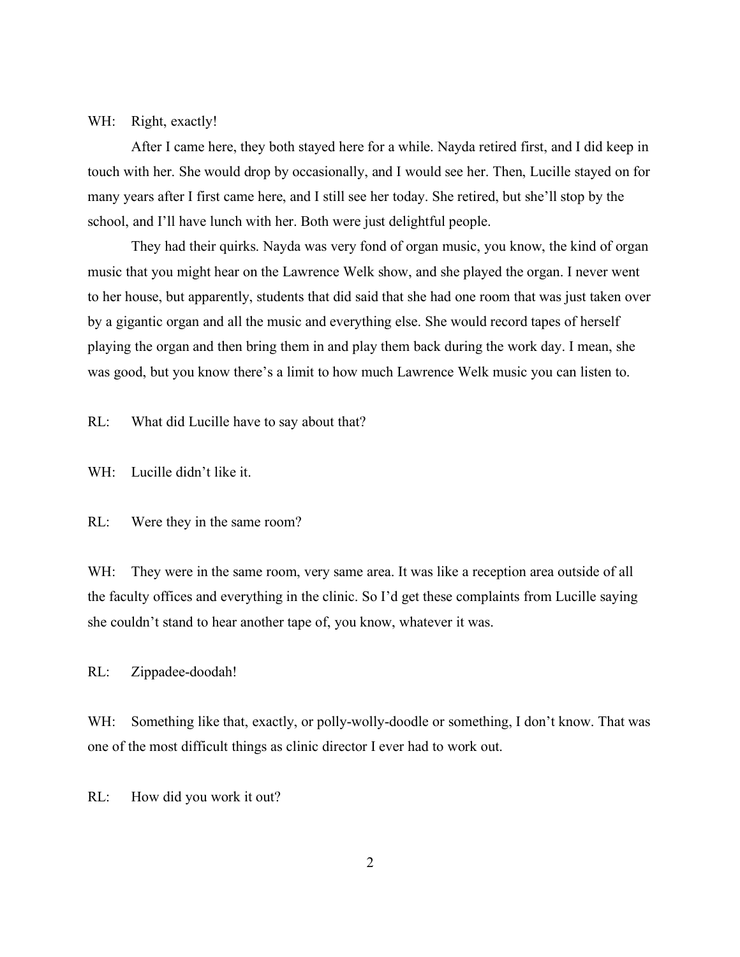### WH: Right, exactly!

After I came here, they both stayed here for a while. Nayda retired first, and I did keep in touch with her. She would drop by occasionally, and I would see her. Then, Lucille stayed on for many years after I first came here, and I still see her today. She retired, but she'll stop by the school, and I'll have lunch with her. Both were just delightful people.

They had their quirks. Nayda was very fond of organ music, you know, the kind of organ music that you might hear on the Lawrence Welk show, and she played the organ. I never went to her house, but apparently, students that did said that she had one room that was just taken over by a gigantic organ and all the music and everything else. She would record tapes of herself playing the organ and then bring them in and play them back during the work day. I mean, she was good, but you know there's a limit to how much Lawrence Welk music you can listen to.

RL: What did Lucille have to say about that?

WH: Lucille didn't like it.

RL: Were they in the same room?

WH: They were in the same room, very same area. It was like a reception area outside of all the faculty offices and everything in the clinic. So I'd get these complaints from Lucille saying she couldn't stand to hear another tape of, you know, whatever it was.

RL: Zippadee-doodah!

WH: Something like that, exactly, or polly-wolly-doodle or something, I don't know. That was one of the most difficult things as clinic director I ever had to work out.

RL: How did you work it out?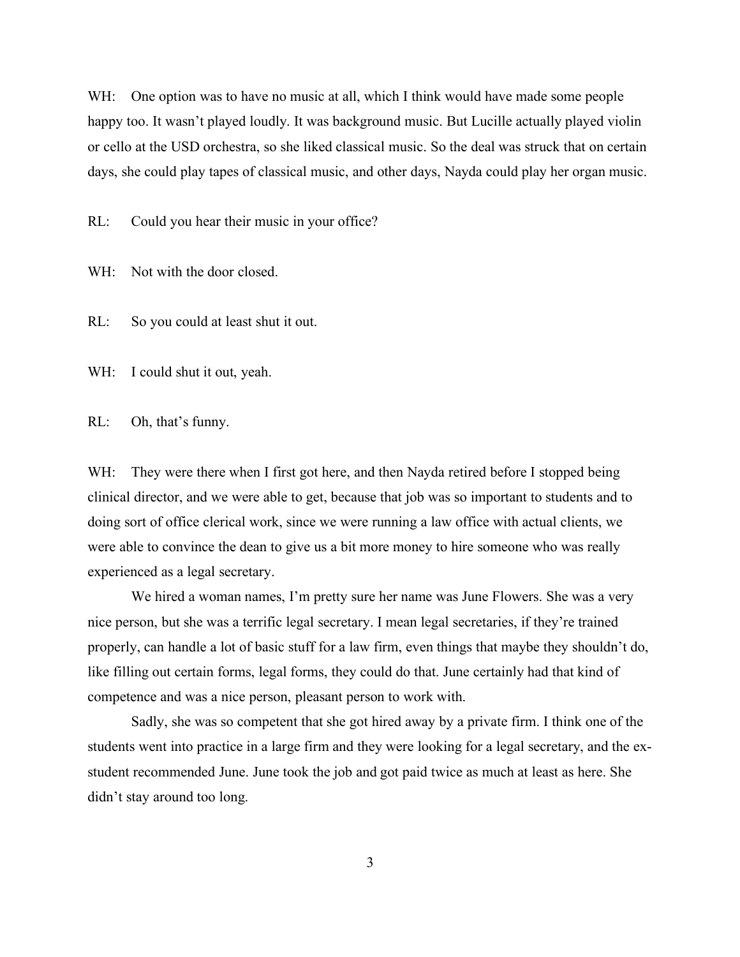WH: One option was to have no music at all, which I think would have made some people happy too. It wasn't played loudly. It was background music. But Lucille actually played violin or cello at the USD orchestra, so she liked classical music. So the deal was struck that on certain days, she could play tapes of classical music, and other days, Nayda could play her organ music.

RL: Could you hear their music in your office?

WH: Not with the door closed.

RL: So you could at least shut it out.

WH: I could shut it out, yeah.

RL: Oh, that's funny.

WH: They were there when I first got here, and then Nayda retired before I stopped being clinical director, and we were able to get, because that job was so important to students and to doing sort of office clerical work, since we were running a law office with actual clients, we were able to convince the dean to give us a bit more money to hire someone who was really experienced as a legal secretary.

We hired a woman names, I'm pretty sure her name was June Flowers. She was a very nice person, but she was a terrific legal secretary. I mean legal secretaries, if they're trained properly, can handle a lot of basic stuff for a law firm, even things that maybe they shouldn't do, like filling out certain forms, legal forms, they could do that. June certainly had that kind of competence and was a nice person, pleasant person to work with.

Sadly, she was so competent that she got hired away by a private firm. I think one of the students went into practice in a large firm and they were looking for a legal secretary, and the exstudent recommended June. June took the job and got paid twice as much at least as here. She didn't stay around too long.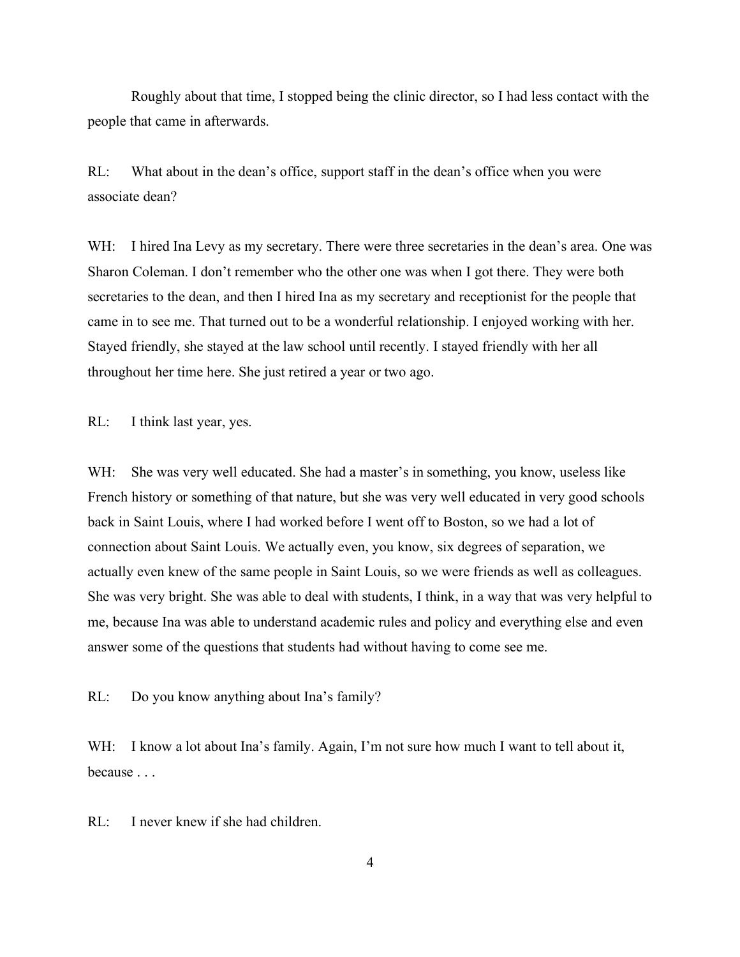Roughly about that time, I stopped being the clinic director, so I had less contact with the people that came in afterwards.

RL: What about in the dean's office, support staff in the dean's office when you were associate dean?

WH: I hired Ina Levy as my secretary. There were three secretaries in the dean's area. One was Sharon Coleman. I don't remember who the other one was when I got there. They were both secretaries to the dean, and then I hired Ina as my secretary and receptionist for the people that came in to see me. That turned out to be a wonderful relationship. I enjoyed working with her. Stayed friendly, she stayed at the law school until recently. I stayed friendly with her all throughout her time here. She just retired a year or two ago.

RL: I think last year, yes.

WH: She was very well educated. She had a master's in something, you know, useless like French history or something of that nature, but she was very well educated in very good schools back in Saint Louis, where I had worked before I went off to Boston, so we had a lot of connection about Saint Louis. We actually even, you know, six degrees of separation, we actually even knew of the same people in Saint Louis, so we were friends as well as colleagues. She was very bright. She was able to deal with students, I think, in a way that was very helpful to me, because Ina was able to understand academic rules and policy and everything else and even answer some of the questions that students had without having to come see me.

RL: Do you know anything about Ina's family?

WH: I know a lot about Ina's family. Again, I'm not sure how much I want to tell about it, because . . .

RL: I never knew if she had children.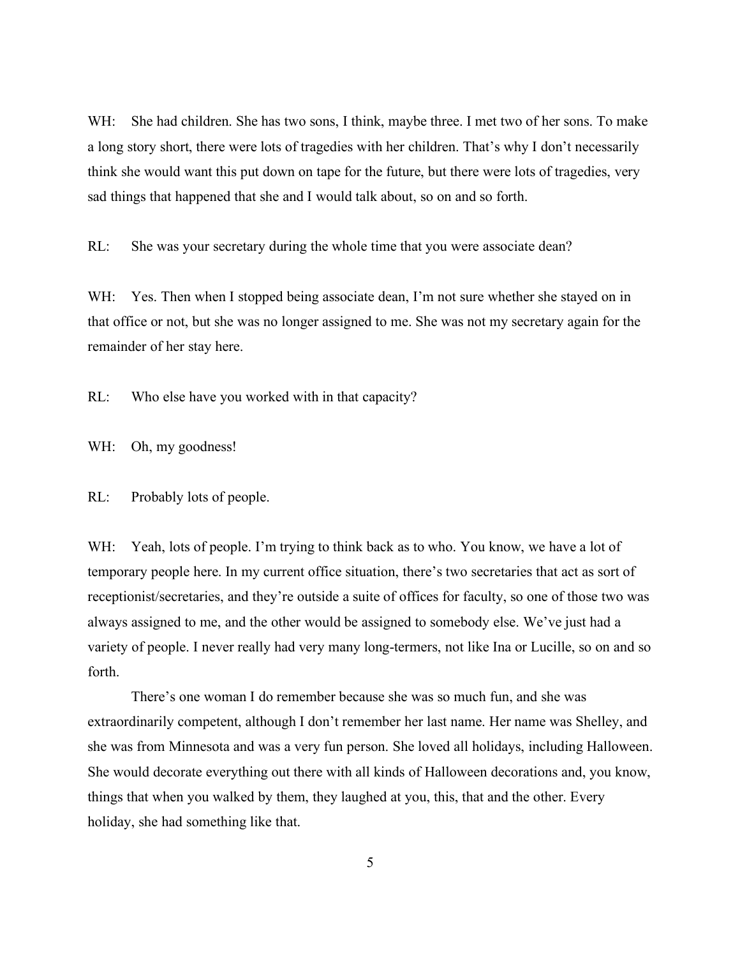WH: She had children. She has two sons, I think, maybe three. I met two of her sons. To make a long story short, there were lots of tragedies with her children. That's why I don't necessarily think she would want this put down on tape for the future, but there were lots of tragedies, very sad things that happened that she and I would talk about, so on and so forth.

RL: She was your secretary during the whole time that you were associate dean?

WH: Yes. Then when I stopped being associate dean, I'm not sure whether she stayed on in that office or not, but she was no longer assigned to me. She was not my secretary again for the remainder of her stay here.

RL: Who else have you worked with in that capacity?

WH: Oh, my goodness!

RL: Probably lots of people.

WH: Yeah, lots of people. I'm trying to think back as to who. You know, we have a lot of temporary people here. In my current office situation, there's two secretaries that act as sort of receptionist/secretaries, and they're outside a suite of offices for faculty, so one of those two was always assigned to me, and the other would be assigned to somebody else. We've just had a variety of people. I never really had very many long-termers, not like Ina or Lucille, so on and so forth.

There's one woman I do remember because she was so much fun, and she was extraordinarily competent, although I don't remember her last name. Her name was Shelley, and she was from Minnesota and was a very fun person. She loved all holidays, including Halloween. She would decorate everything out there with all kinds of Halloween decorations and, you know, things that when you walked by them, they laughed at you, this, that and the other. Every holiday, she had something like that.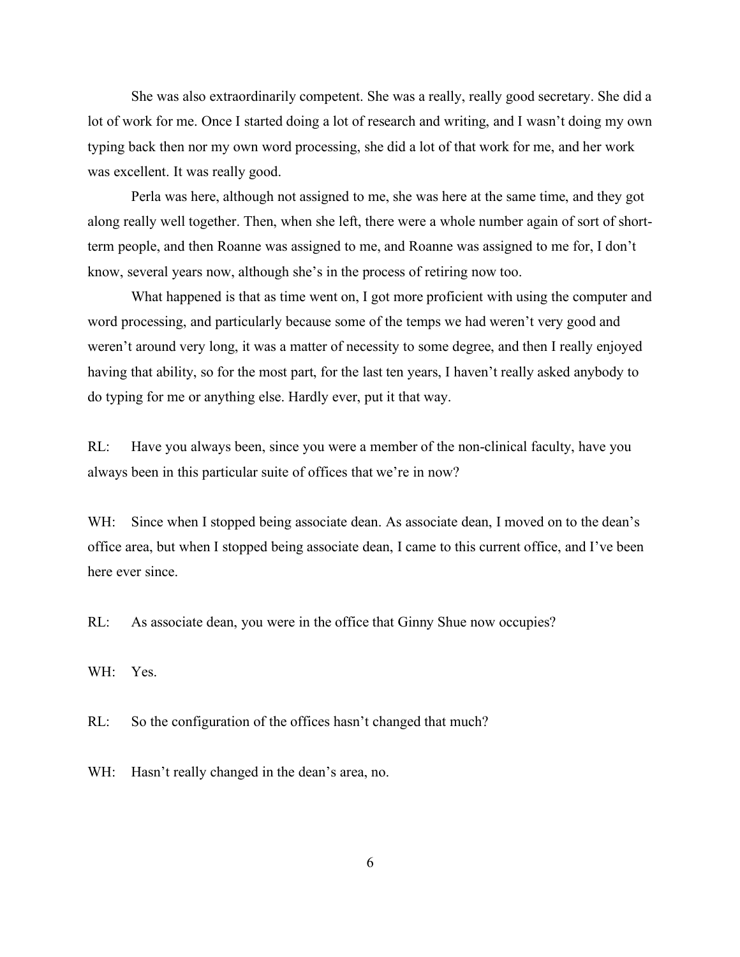She was also extraordinarily competent. She was a really, really good secretary. She did a lot of work for me. Once I started doing a lot of research and writing, and I wasn't doing my own typing back then nor my own word processing, she did a lot of that work for me, and her work was excellent. It was really good.

Perla was here, although not assigned to me, she was here at the same time, and they got along really well together. Then, when she left, there were a whole number again of sort of shortterm people, and then Roanne was assigned to me, and Roanne was assigned to me for, I don't know, several years now, although she's in the process of retiring now too.

What happened is that as time went on, I got more proficient with using the computer and word processing, and particularly because some of the temps we had weren't very good and weren't around very long, it was a matter of necessity to some degree, and then I really enjoyed having that ability, so for the most part, for the last ten years, I haven't really asked anybody to do typing for me or anything else. Hardly ever, put it that way.

RL: Have you always been, since you were a member of the non-clinical faculty, have you always been in this particular suite of offices that we're in now?

WH: Since when I stopped being associate dean. As associate dean, I moved on to the dean's office area, but when I stopped being associate dean, I came to this current office, and I've been here ever since.

RL: As associate dean, you were in the office that Ginny Shue now occupies?

WH: Yes.

RL: So the configuration of the offices hasn't changed that much?

WH: Hasn't really changed in the dean's area, no.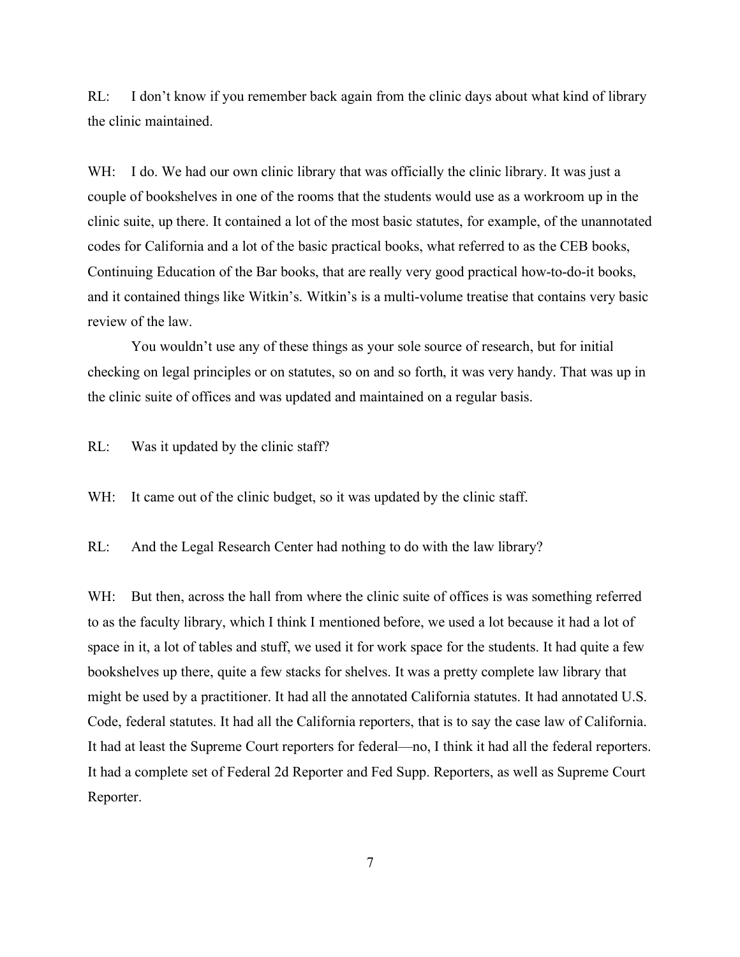RL: I don't know if you remember back again from the clinic days about what kind of library the clinic maintained.

WH: I do. We had our own clinic library that was officially the clinic library. It was just a couple of bookshelves in one of the rooms that the students would use as a workroom up in the clinic suite, up there. It contained a lot of the most basic statutes, for example, of the unannotated codes for California and a lot of the basic practical books, what referred to as the CEB books, Continuing Education of the Bar books, that are really very good practical how-to-do-it books, and it contained things like Witkin's. Witkin's is a multi-volume treatise that contains very basic review of the law.

You wouldn't use any of these things as your sole source of research, but for initial checking on legal principles or on statutes, so on and so forth, it was very handy. That was up in the clinic suite of offices and was updated and maintained on a regular basis.

RL: Was it updated by the clinic staff?

WH: It came out of the clinic budget, so it was updated by the clinic staff.

RL: And the Legal Research Center had nothing to do with the law library?

WH: But then, across the hall from where the clinic suite of offices is was something referred to as the faculty library, which I think I mentioned before, we used a lot because it had a lot of space in it, a lot of tables and stuff, we used it for work space for the students. It had quite a few bookshelves up there, quite a few stacks for shelves. It was a pretty complete law library that might be used by a practitioner. It had all the annotated California statutes. It had annotated U.S. Code, federal statutes. It had all the California reporters, that is to say the case law of California. It had at least the Supreme Court reporters for federal—no, I think it had all the federal reporters. It had a complete set of Federal 2d Reporter and Fed Supp. Reporters, as well as Supreme Court Reporter.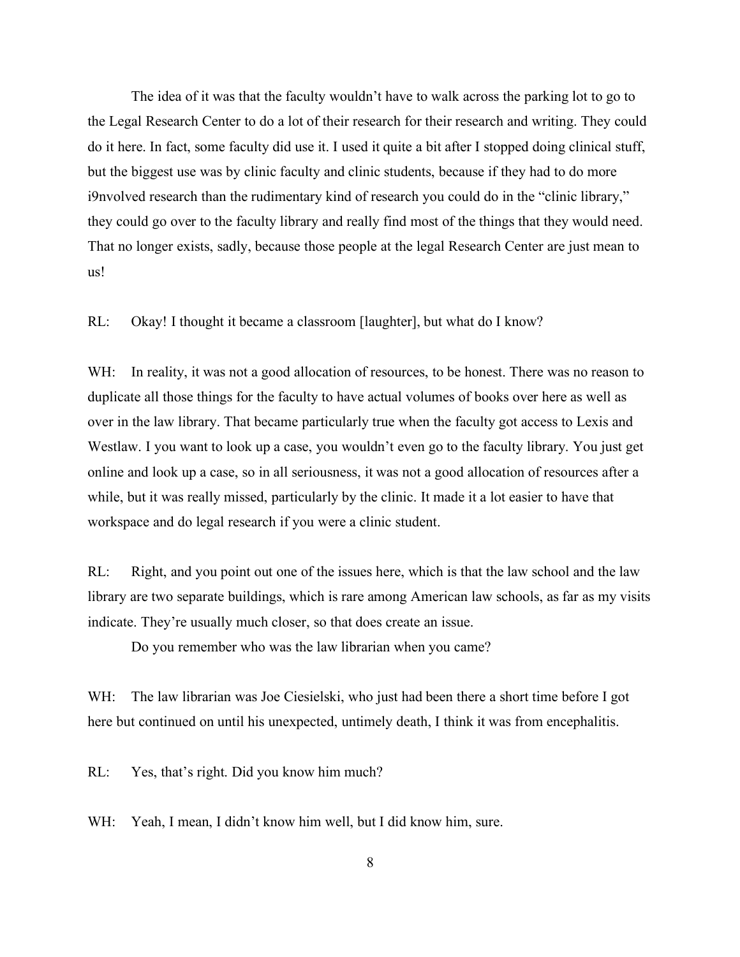The idea of it was that the faculty wouldn't have to walk across the parking lot to go to the Legal Research Center to do a lot of their research for their research and writing. They could do it here. In fact, some faculty did use it. I used it quite a bit after I stopped doing clinical stuff, but the biggest use was by clinic faculty and clinic students, because if they had to do more i9nvolved research than the rudimentary kind of research you could do in the "clinic library," they could go over to the faculty library and really find most of the things that they would need. That no longer exists, sadly, because those people at the legal Research Center are just mean to us!

RL: Okay! I thought it became a classroom [laughter], but what do I know?

WH: In reality, it was not a good allocation of resources, to be honest. There was no reason to duplicate all those things for the faculty to have actual volumes of books over here as well as over in the law library. That became particularly true when the faculty got access to Lexis and Westlaw. I you want to look up a case, you wouldn't even go to the faculty library. You just get online and look up a case, so in all seriousness, it was not a good allocation of resources after a while, but it was really missed, particularly by the clinic. It made it a lot easier to have that workspace and do legal research if you were a clinic student.

RL: Right, and you point out one of the issues here, which is that the law school and the law library are two separate buildings, which is rare among American law schools, as far as my visits indicate. They're usually much closer, so that does create an issue.

Do you remember who was the law librarian when you came?

WH: The law librarian was Joe Ciesielski, who just had been there a short time before I got here but continued on until his unexpected, untimely death, I think it was from encephalitis.

RL: Yes, that's right. Did you know him much?

WH: Yeah, I mean, I didn't know him well, but I did know him, sure.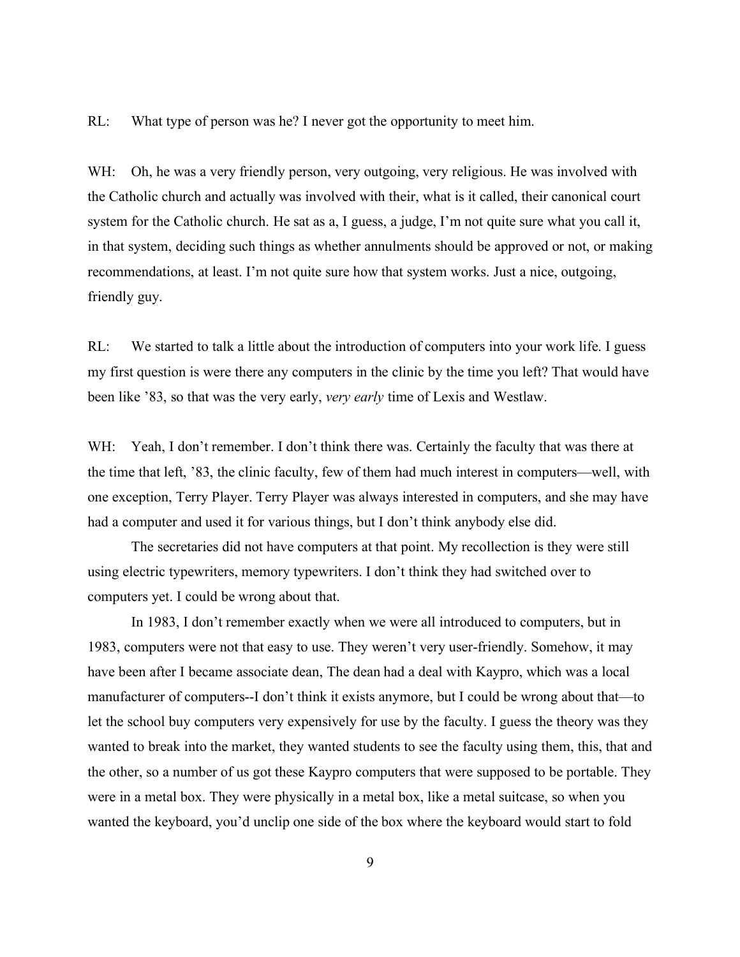RL: What type of person was he? I never got the opportunity to meet him.

WH: Oh, he was a very friendly person, very outgoing, very religious. He was involved with the Catholic church and actually was involved with their, what is it called, their canonical court system for the Catholic church. He sat as a, I guess, a judge, I'm not quite sure what you call it, in that system, deciding such things as whether annulments should be approved or not, or making recommendations, at least. I'm not quite sure how that system works. Just a nice, outgoing, friendly guy.

RL: We started to talk a little about the introduction of computers into your work life. I guess my first question is were there any computers in the clinic by the time you left? That would have been like '83, so that was the very early, *very early* time of Lexis and Westlaw.

WH: Yeah, I don't remember. I don't think there was. Certainly the faculty that was there at the time that left, '83, the clinic faculty, few of them had much interest in computers—well, with one exception, Terry Player. Terry Player was always interested in computers, and she may have had a computer and used it for various things, but I don't think anybody else did.

The secretaries did not have computers at that point. My recollection is they were still using electric typewriters, memory typewriters. I don't think they had switched over to computers yet. I could be wrong about that.

In 1983, I don't remember exactly when we were all introduced to computers, but in 1983, computers were not that easy to use. They weren't very user-friendly. Somehow, it may have been after I became associate dean, The dean had a deal with Kaypro, which was a local manufacturer of computers--I don't think it exists anymore, but I could be wrong about that—to let the school buy computers very expensively for use by the faculty. I guess the theory was they wanted to break into the market, they wanted students to see the faculty using them, this, that and the other, so a number of us got these Kaypro computers that were supposed to be portable. They were in a metal box. They were physically in a metal box, like a metal suitcase, so when you wanted the keyboard, you'd unclip one side of the box where the keyboard would start to fold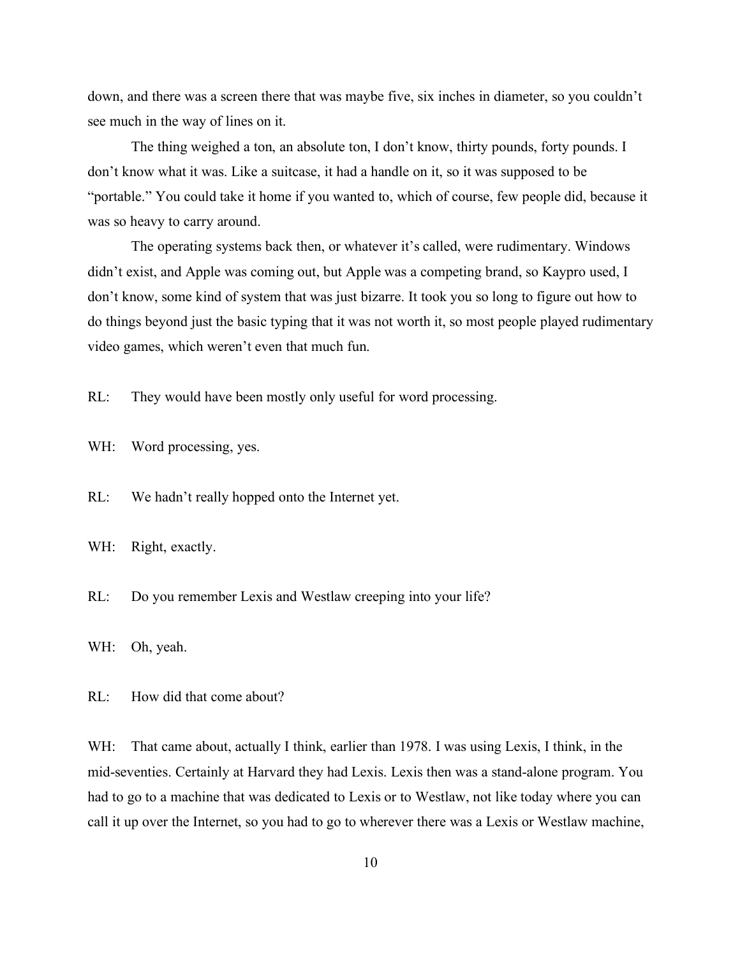down, and there was a screen there that was maybe five, six inches in diameter, so you couldn't see much in the way of lines on it.

The thing weighed a ton, an absolute ton, I don't know, thirty pounds, forty pounds. I don't know what it was. Like a suitcase, it had a handle on it, so it was supposed to be "portable." You could take it home if you wanted to, which of course, few people did, because it was so heavy to carry around.

The operating systems back then, or whatever it's called, were rudimentary. Windows didn't exist, and Apple was coming out, but Apple was a competing brand, so Kaypro used, I don't know, some kind of system that was just bizarre. It took you so long to figure out how to do things beyond just the basic typing that it was not worth it, so most people played rudimentary video games, which weren't even that much fun.

RL: They would have been mostly only useful for word processing.

WH: Word processing, yes.

RL: We hadn't really hopped onto the Internet yet.

WH: Right, exactly.

RL: Do you remember Lexis and Westlaw creeping into your life?

WH: Oh, yeah.

RL: How did that come about?

WH: That came about, actually I think, earlier than 1978. I was using Lexis, I think, in the mid-seventies. Certainly at Harvard they had Lexis. Lexis then was a stand-alone program. You had to go to a machine that was dedicated to Lexis or to Westlaw, not like today where you can call it up over the Internet, so you had to go to wherever there was a Lexis or Westlaw machine,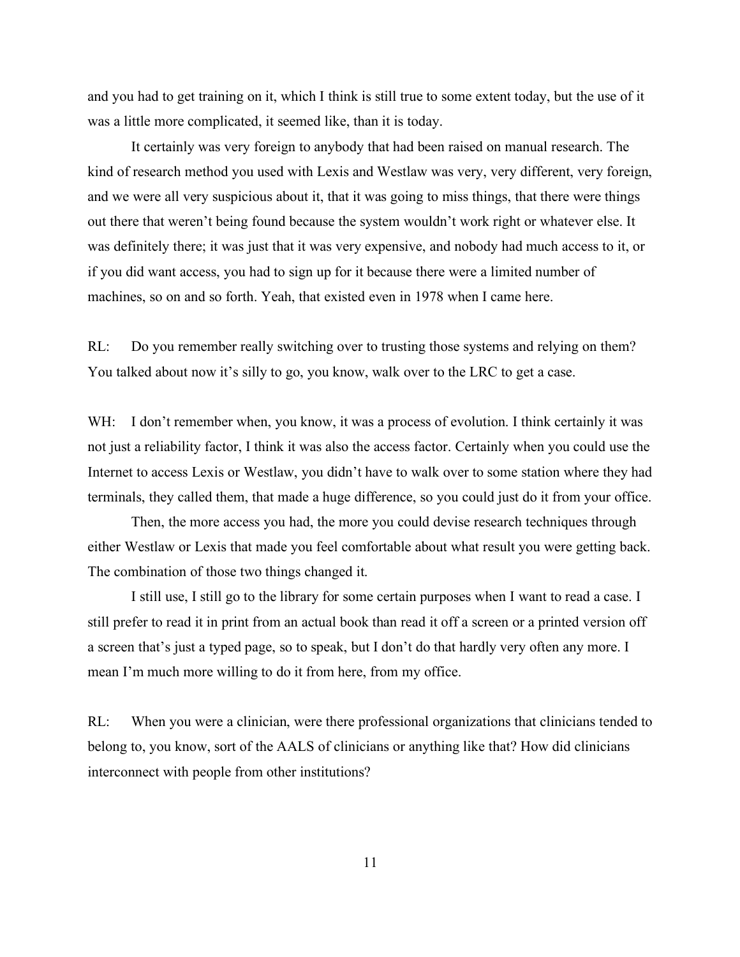and you had to get training on it, which I think is still true to some extent today, but the use of it was a little more complicated, it seemed like, than it is today.

It certainly was very foreign to anybody that had been raised on manual research. The kind of research method you used with Lexis and Westlaw was very, very different, very foreign, and we were all very suspicious about it, that it was going to miss things, that there were things out there that weren't being found because the system wouldn't work right or whatever else. It was definitely there; it was just that it was very expensive, and nobody had much access to it, or if you did want access, you had to sign up for it because there were a limited number of machines, so on and so forth. Yeah, that existed even in 1978 when I came here.

RL: Do you remember really switching over to trusting those systems and relying on them? You talked about now it's silly to go, you know, walk over to the LRC to get a case.

WH: I don't remember when, you know, it was a process of evolution. I think certainly it was not just a reliability factor, I think it was also the access factor. Certainly when you could use the Internet to access Lexis or Westlaw, you didn't have to walk over to some station where they had terminals, they called them, that made a huge difference, so you could just do it from your office.

Then, the more access you had, the more you could devise research techniques through either Westlaw or Lexis that made you feel comfortable about what result you were getting back. The combination of those two things changed it.

I still use, I still go to the library for some certain purposes when I want to read a case. I still prefer to read it in print from an actual book than read it off a screen or a printed version off a screen that's just a typed page, so to speak, but I don't do that hardly very often any more. I mean I'm much more willing to do it from here, from my office.

RL: When you were a clinician, were there professional organizations that clinicians tended to belong to, you know, sort of the AALS of clinicians or anything like that? How did clinicians interconnect with people from other institutions?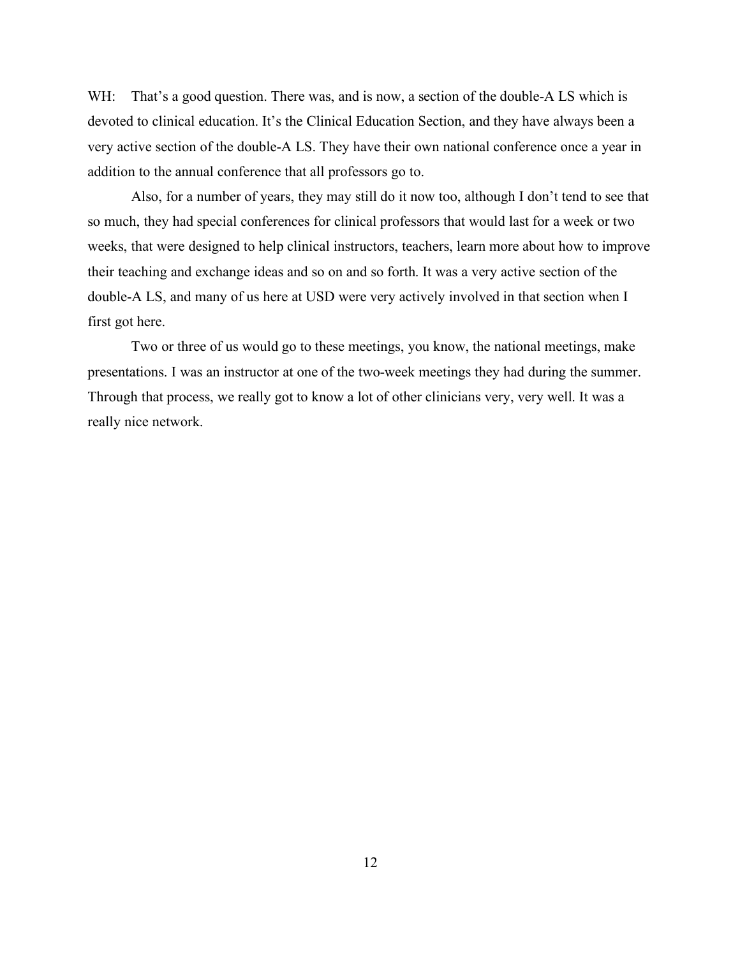WH: That's a good question. There was, and is now, a section of the double-A LS which is devoted to clinical education. It's the Clinical Education Section, and they have always been a very active section of the double-A LS. They have their own national conference once a year in addition to the annual conference that all professors go to.

Also, for a number of years, they may still do it now too, although I don't tend to see that so much, they had special conferences for clinical professors that would last for a week or two weeks, that were designed to help clinical instructors, teachers, learn more about how to improve their teaching and exchange ideas and so on and so forth. It was a very active section of the double-A LS, and many of us here at USD were very actively involved in that section when I first got here.

Two or three of us would go to these meetings, you know, the national meetings, make presentations. I was an instructor at one of the two-week meetings they had during the summer. Through that process, we really got to know a lot of other clinicians very, very well. It was a really nice network.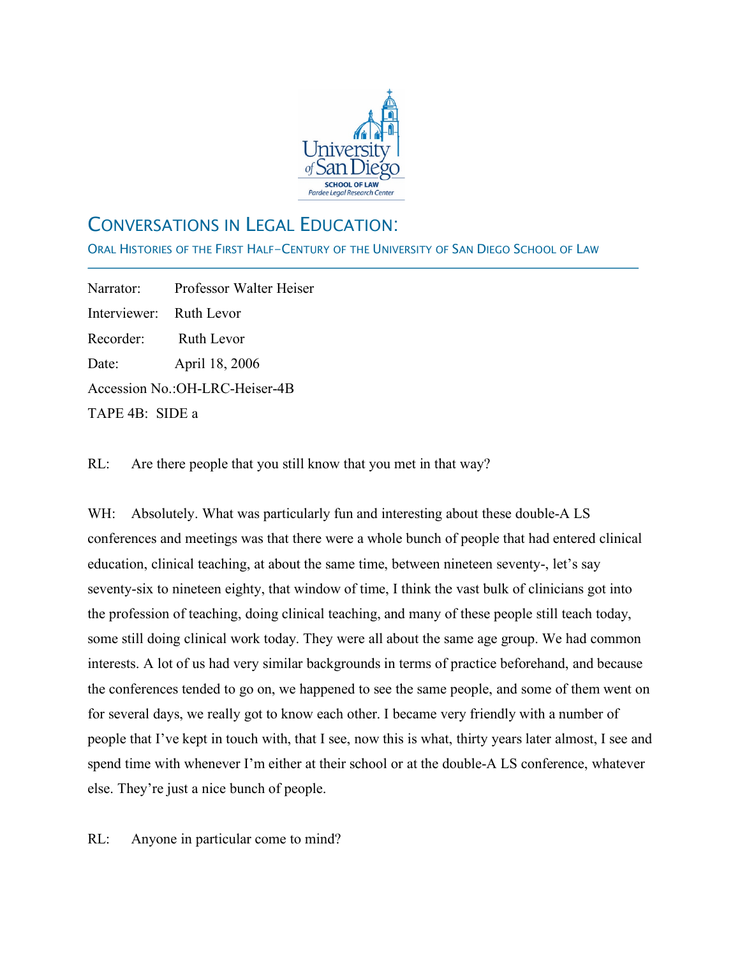

# CONVERSATIONS IN LEGAL EDUCATION:

ORAL HISTORIES OF THE FIRST HALF-CENTURY OF THE UNIVERSITY OF SAN DIEGO SCHOOL OF LAW

Narrator: Professor Walter Heiser Interviewer: Ruth Levor Recorder: Ruth Levor Date: April 18, 2006 Accession No.:OH-LRC-Heiser-4B TAPE 4B: SIDE a

j

RL: Are there people that you still know that you met in that way?

WH: Absolutely. What was particularly fun and interesting about these double-A LS conferences and meetings was that there were a whole bunch of people that had entered clinical education, clinical teaching, at about the same time, between nineteen seventy-, let's say seventy-six to nineteen eighty, that window of time, I think the vast bulk of clinicians got into the profession of teaching, doing clinical teaching, and many of these people still teach today, some still doing clinical work today. They were all about the same age group. We had common interests. A lot of us had very similar backgrounds in terms of practice beforehand, and because the conferences tended to go on, we happened to see the same people, and some of them went on for several days, we really got to know each other. I became very friendly with a number of people that I've kept in touch with, that I see, now this is what, thirty years later almost, I see and spend time with whenever I'm either at their school or at the double-A LS conference, whatever else. They're just a nice bunch of people.

RL: Anyone in particular come to mind?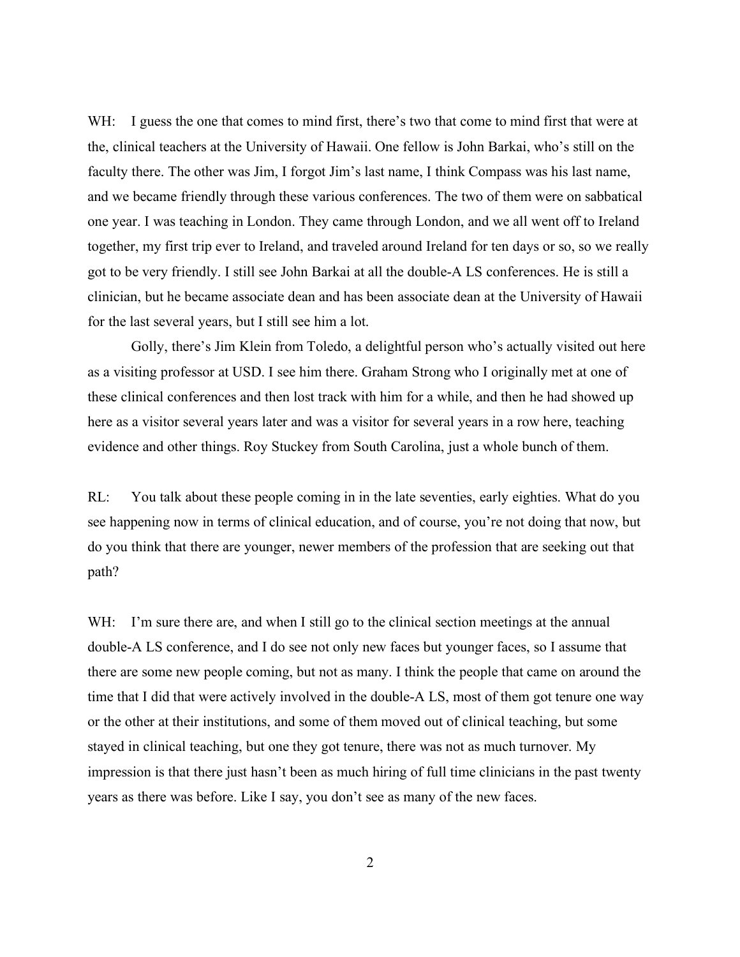WH: I guess the one that comes to mind first, there's two that come to mind first that were at the, clinical teachers at the University of Hawaii. One fellow is John Barkai, who's still on the faculty there. The other was Jim, I forgot Jim's last name, I think Compass was his last name, and we became friendly through these various conferences. The two of them were on sabbatical one year. I was teaching in London. They came through London, and we all went off to Ireland together, my first trip ever to Ireland, and traveled around Ireland for ten days or so, so we really got to be very friendly. I still see John Barkai at all the double-A LS conferences. He is still a clinician, but he became associate dean and has been associate dean at the University of Hawaii for the last several years, but I still see him a lot.

Golly, there's Jim Klein from Toledo, a delightful person who's actually visited out here as a visiting professor at USD. I see him there. Graham Strong who I originally met at one of these clinical conferences and then lost track with him for a while, and then he had showed up here as a visitor several years later and was a visitor for several years in a row here, teaching evidence and other things. Roy Stuckey from South Carolina, just a whole bunch of them.

RL: You talk about these people coming in in the late seventies, early eighties. What do you see happening now in terms of clinical education, and of course, you're not doing that now, but do you think that there are younger, newer members of the profession that are seeking out that path?

WH: I'm sure there are, and when I still go to the clinical section meetings at the annual double-A LS conference, and I do see not only new faces but younger faces, so I assume that there are some new people coming, but not as many. I think the people that came on around the time that I did that were actively involved in the double-A LS, most of them got tenure one way or the other at their institutions, and some of them moved out of clinical teaching, but some stayed in clinical teaching, but one they got tenure, there was not as much turnover. My impression is that there just hasn't been as much hiring of full time clinicians in the past twenty years as there was before. Like I say, you don't see as many of the new faces.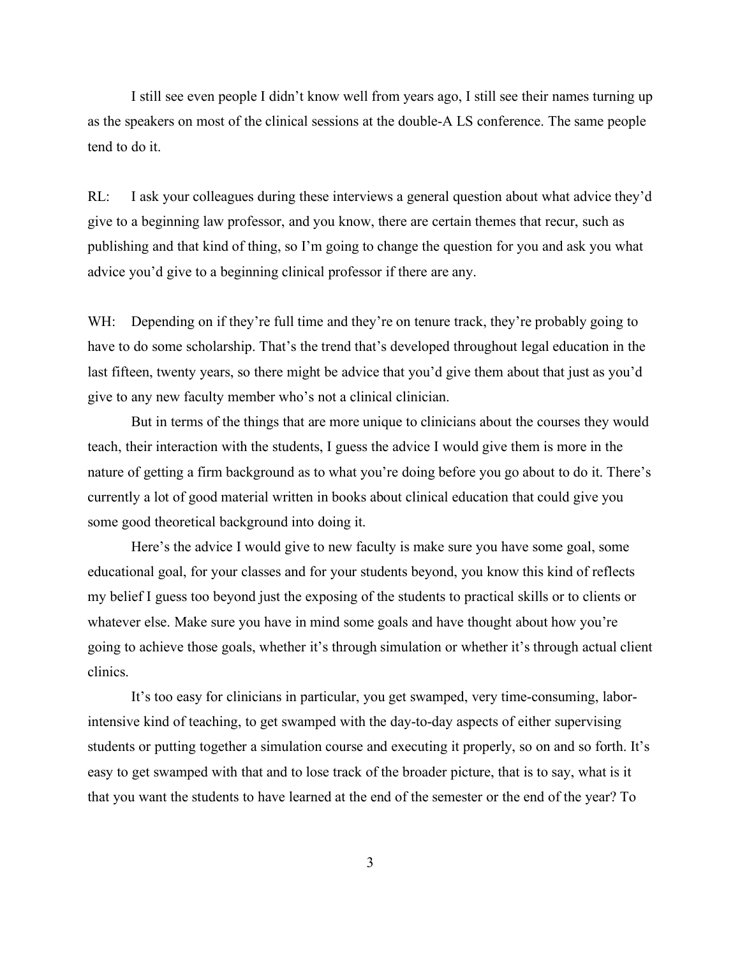I still see even people I didn't know well from years ago, I still see their names turning up as the speakers on most of the clinical sessions at the double-A LS conference. The same people tend to do it.

RL: I ask your colleagues during these interviews a general question about what advice they'd give to a beginning law professor, and you know, there are certain themes that recur, such as publishing and that kind of thing, so I'm going to change the question for you and ask you what advice you'd give to a beginning clinical professor if there are any.

WH: Depending on if they're full time and they're on tenure track, they're probably going to have to do some scholarship. That's the trend that's developed throughout legal education in the last fifteen, twenty years, so there might be advice that you'd give them about that just as you'd give to any new faculty member who's not a clinical clinician.

But in terms of the things that are more unique to clinicians about the courses they would teach, their interaction with the students, I guess the advice I would give them is more in the nature of getting a firm background as to what you're doing before you go about to do it. There's currently a lot of good material written in books about clinical education that could give you some good theoretical background into doing it.

Here's the advice I would give to new faculty is make sure you have some goal, some educational goal, for your classes and for your students beyond, you know this kind of reflects my belief I guess too beyond just the exposing of the students to practical skills or to clients or whatever else. Make sure you have in mind some goals and have thought about how you're going to achieve those goals, whether it's through simulation or whether it's through actual client clinics.

It's too easy for clinicians in particular, you get swamped, very time-consuming, laborintensive kind of teaching, to get swamped with the day-to-day aspects of either supervising students or putting together a simulation course and executing it properly, so on and so forth. It's easy to get swamped with that and to lose track of the broader picture, that is to say, what is it that you want the students to have learned at the end of the semester or the end of the year? To